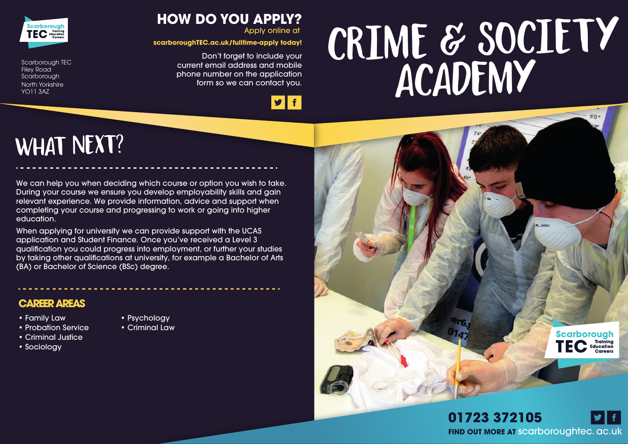# **Academy Crime & Society**



Scarborough TEC Filey Road **Scarborough** North Yorkshire YO11 3AZ

### **What next?**

We can help you when deciding which course or option you wish to take. During your course we ensure you develop employability skills and gain relevant experience. We provide information, advice and support when completing your course and progressing to work or going into higher education.

**HOW DO YOU APPLY?**

**scarboroughTEC.ac.uk/fulltime-apply today!**

Don't forget to include your current email address and mobile phone number on the application form so we can contact you.

Apply online at

 $|y|f|$ 

When applying for university we can provide support with the UCAS application and Student Finance. Once you've received a Level 3 qualification you could progress into employment, or further your studies by taking other qualifications at university, for example a Bachelor of Arts (BA) or Bachelor of Science (BSc) degree.

#### **CAREER AREAS**

- Family Law
- Probation Service
- Criminal Justice
- Sociology
- Psychology
- Criminal Law